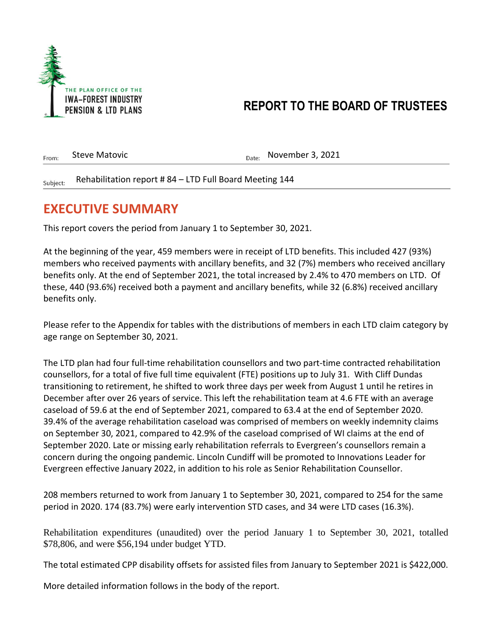

Subiect:

## **REPORT TO THE BOARD OF TRUSTEES**

| From:    | Steve Matovic                                          | $_{\text{Date:}}$ November 3, 2021 |
|----------|--------------------------------------------------------|------------------------------------|
| Subject: | Rehabilitation report #84 - LTD Full Board Meeting 144 |                                    |

#### **EXECUTIVE SUMMARY**

This report covers the period from January 1 to September 30, 2021.

At the beginning of the year, 459 members were in receipt of LTD benefits. This included 427 (93%) members who received payments with ancillary benefits, and 32 (7%) members who received ancillary benefits only. At the end of September 2021, the total increased by 2.4% to 470 members on LTD. Of these, 440 (93.6%) received both a payment and ancillary benefits, while 32 (6.8%) received ancillary benefits only.

Please refer to the Appendix for tables with the distributions of members in each LTD claim category by age range on September 30, 2021.

The LTD plan had four full-time rehabilitation counsellors and two part-time contracted rehabilitation counsellors, for a total of five full time equivalent (FTE) positions up to July 31. With Cliff Dundas transitioning to retirement, he shifted to work three days per week from August 1 until he retires in December after over 26 years of service. This left the rehabilitation team at 4.6 FTE with an average caseload of 59.6 at the end of September 2021, compared to 63.4 at the end of September 2020. 39.4% of the average rehabilitation caseload was comprised of members on weekly indemnity claims on September 30, 2021, compared to 42.9% of the caseload comprised of WI claims at the end of September 2020. Late or missing early rehabilitation referrals to Evergreen's counsellors remain a concern during the ongoing pandemic. Lincoln Cundiff will be promoted to Innovations Leader for Evergreen effective January 2022, in addition to his role as Senior Rehabilitation Counsellor.

208 members returned to work from January 1 to September 30, 2021, compared to 254 for the same period in 2020. 174 (83.7%) were early intervention STD cases, and 34 were LTD cases (16.3%).

Rehabilitation expenditures (unaudited) over the period January 1 to September 30, 2021, totalled \$78,806, and were \$56,194 under budget YTD.

The total estimated CPP disability offsets for assisted files from January to September 2021 is \$422,000.

More detailed information follows in the body of the report.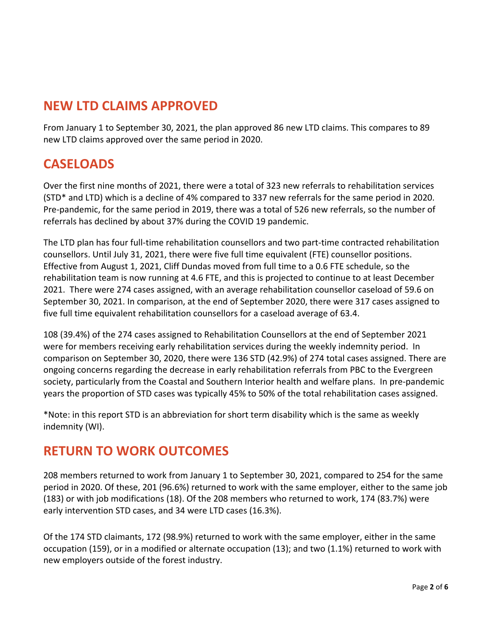### **NEW LTD CLAIMS APPROVED**

From January 1 to September 30, 2021, the plan approved 86 new LTD claims. This compares to 89 new LTD claims approved over the same period in 2020.

#### **CASELOADS**

Over the first nine months of 2021, there were a total of 323 new referrals to rehabilitation services (STD\* and LTD) which is a decline of 4% compared to 337 new referrals for the same period in 2020. Pre-pandemic, for the same period in 2019, there was a total of 526 new referrals, so the number of referrals has declined by about 37% during the COVID 19 pandemic.

The LTD plan has four full-time rehabilitation counsellors and two part-time contracted rehabilitation counsellors. Until July 31, 2021, there were five full time equivalent (FTE) counsellor positions. Effective from August 1, 2021, Cliff Dundas moved from full time to a 0.6 FTE schedule, so the rehabilitation team is now running at 4.6 FTE, and this is projected to continue to at least December 2021. There were 274 cases assigned, with an average rehabilitation counsellor caseload of 59.6 on September 30, 2021. In comparison, at the end of September 2020, there were 317 cases assigned to five full time equivalent rehabilitation counsellors for a caseload average of 63.4.

108 (39.4%) of the 274 cases assigned to Rehabilitation Counsellors at the end of September 2021 were for members receiving early rehabilitation services during the weekly indemnity period. In comparison on September 30, 2020, there were 136 STD (42.9%) of 274 total cases assigned. There are ongoing concerns regarding the decrease in early rehabilitation referrals from PBC to the Evergreen society, particularly from the Coastal and Southern Interior health and welfare plans. In pre-pandemic years the proportion of STD cases was typically 45% to 50% of the total rehabilitation cases assigned.

\*Note: in this report STD is an abbreviation for short term disability which is the same as weekly indemnity (WI).

#### **RETURN TO WORK OUTCOMES**

208 members returned to work from January 1 to September 30, 2021, compared to 254 for the same period in 2020. Of these, 201 (96.6%) returned to work with the same employer, either to the same job (183) or with job modifications (18). Of the 208 members who returned to work, 174 (83.7%) were early intervention STD cases, and 34 were LTD cases (16.3%).

Of the 174 STD claimants, 172 (98.9%) returned to work with the same employer, either in the same occupation (159), or in a modified or alternate occupation (13); and two (1.1%) returned to work with new employers outside of the forest industry.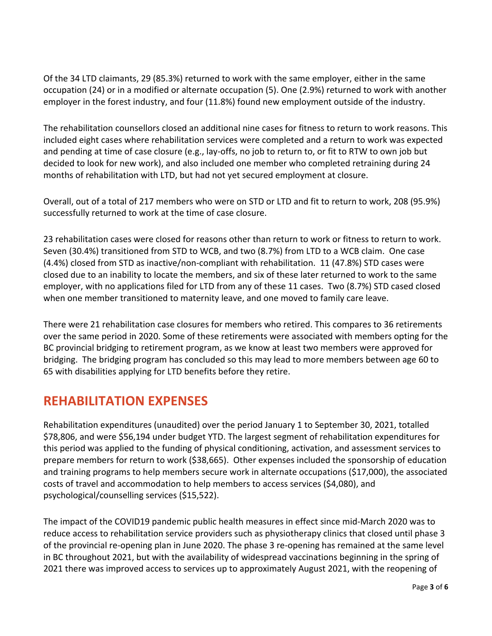Of the 34 LTD claimants, 29 (85.3%) returned to work with the same employer, either in the same occupation (24) or in a modified or alternate occupation (5). One (2.9%) returned to work with another employer in the forest industry, and four (11.8%) found new employment outside of the industry.

The rehabilitation counsellors closed an additional nine cases for fitness to return to work reasons. This included eight cases where rehabilitation services were completed and a return to work was expected and pending at time of case closure (e.g., lay-offs, no job to return to, or fit to RTW to own job but decided to look for new work), and also included one member who completed retraining during 24 months of rehabilitation with LTD, but had not yet secured employment at closure.

Overall, out of a total of 217 members who were on STD or LTD and fit to return to work, 208 (95.9%) successfully returned to work at the time of case closure.

23 rehabilitation cases were closed for reasons other than return to work or fitness to return to work. Seven (30.4%) transitioned from STD to WCB, and two (8.7%) from LTD to a WCB claim. One case (4.4%) closed from STD as inactive/non-compliant with rehabilitation. 11 (47.8%) STD cases were closed due to an inability to locate the members, and six of these later returned to work to the same employer, with no applications filed for LTD from any of these 11 cases. Two (8.7%) STD cased closed when one member transitioned to maternity leave, and one moved to family care leave.

There were 21 rehabilitation case closures for members who retired. This compares to 36 retirements over the same period in 2020. Some of these retirements were associated with members opting for the BC provincial bridging to retirement program, as we know at least two members were approved for bridging. The bridging program has concluded so this may lead to more members between age 60 to 65 with disabilities applying for LTD benefits before they retire.

#### **REHABILITATION EXPENSES**

Rehabilitation expenditures (unaudited) over the period January 1 to September 30, 2021, totalled \$78,806, and were \$56,194 under budget YTD. The largest segment of rehabilitation expenditures for this period was applied to the funding of physical conditioning, activation, and assessment services to prepare members for return to work (\$38,665). Other expenses included the sponsorship of education and training programs to help members secure work in alternate occupations (\$17,000), the associated costs of travel and accommodation to help members to access services (\$4,080), and psychological/counselling services (\$15,522).

The impact of the COVID19 pandemic public health measures in effect since mid-March 2020 was to reduce access to rehabilitation service providers such as physiotherapy clinics that closed until phase 3 of the provincial re-opening plan in June 2020. The phase 3 re-opening has remained at the same level in BC throughout 2021, but with the availability of widespread vaccinations beginning in the spring of 2021 there was improved access to services up to approximately August 2021, with the reopening of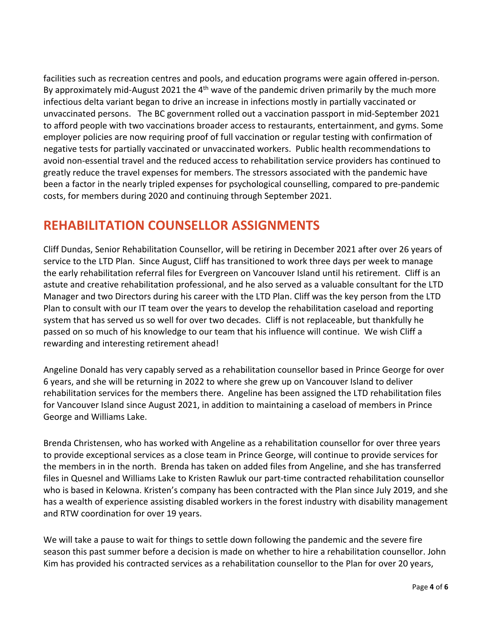facilities such as recreation centres and pools, and education programs were again offered in-person. By approximately mid-August 2021 the  $4<sup>th</sup>$  wave of the pandemic driven primarily by the much more infectious delta variant began to drive an increase in infections mostly in partially vaccinated or unvaccinated persons. The BC government rolled out a vaccination passport in mid-September 2021 to afford people with two vaccinations broader access to restaurants, entertainment, and gyms. Some employer policies are now requiring proof of full vaccination or regular testing with confirmation of negative tests for partially vaccinated or unvaccinated workers. Public health recommendations to avoid non-essential travel and the reduced access to rehabilitation service providers has continued to greatly reduce the travel expenses for members. The stressors associated with the pandemic have been a factor in the nearly tripled expenses for psychological counselling, compared to pre-pandemic costs, for members during 2020 and continuing through September 2021.

#### **REHABILITATION COUNSELLOR ASSIGNMENTS**

Cliff Dundas, Senior Rehabilitation Counsellor, will be retiring in December 2021 after over 26 years of service to the LTD Plan. Since August, Cliff has transitioned to work three days per week to manage the early rehabilitation referral files for Evergreen on Vancouver Island until his retirement. Cliff is an astute and creative rehabilitation professional, and he also served as a valuable consultant for the LTD Manager and two Directors during his career with the LTD Plan. Cliff was the key person from the LTD Plan to consult with our IT team over the years to develop the rehabilitation caseload and reporting system that has served us so well for over two decades. Cliff is not replaceable, but thankfully he passed on so much of his knowledge to our team that his influence will continue. We wish Cliff a rewarding and interesting retirement ahead!

Angeline Donald has very capably served as a rehabilitation counsellor based in Prince George for over 6 years, and she will be returning in 2022 to where she grew up on Vancouver Island to deliver rehabilitation services for the members there. Angeline has been assigned the LTD rehabilitation files for Vancouver Island since August 2021, in addition to maintaining a caseload of members in Prince George and Williams Lake.

Brenda Christensen, who has worked with Angeline as a rehabilitation counsellor for over three years to provide exceptional services as a close team in Prince George, will continue to provide services for the members in in the north. Brenda has taken on added files from Angeline, and she has transferred files in Quesnel and Williams Lake to Kristen Rawluk our part-time contracted rehabilitation counsellor who is based in Kelowna. Kristen's company has been contracted with the Plan since July 2019, and she has a wealth of experience assisting disabled workers in the forest industry with disability management and RTW coordination for over 19 years.

We will take a pause to wait for things to settle down following the pandemic and the severe fire season this past summer before a decision is made on whether to hire a rehabilitation counsellor. John Kim has provided his contracted services as a rehabilitation counsellor to the Plan for over 20 years,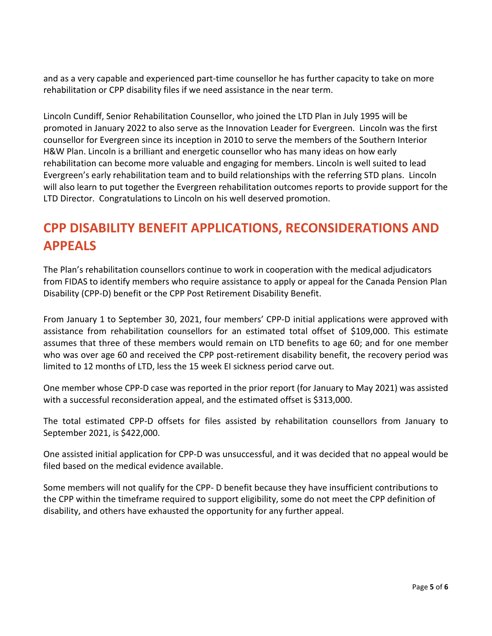and as a very capable and experienced part-time counsellor he has further capacity to take on more rehabilitation or CPP disability files if we need assistance in the near term.

Lincoln Cundiff, Senior Rehabilitation Counsellor, who joined the LTD Plan in July 1995 will be promoted in January 2022 to also serve as the Innovation Leader for Evergreen. Lincoln was the first counsellor for Evergreen since its inception in 2010 to serve the members of the Southern Interior H&W Plan. Lincoln is a brilliant and energetic counsellor who has many ideas on how early rehabilitation can become more valuable and engaging for members. Lincoln is well suited to lead Evergreen's early rehabilitation team and to build relationships with the referring STD plans. Lincoln will also learn to put together the Evergreen rehabilitation outcomes reports to provide support for the LTD Director. Congratulations to Lincoln on his well deserved promotion.

# **CPP DISABILITY BENEFIT APPLICATIONS, RECONSIDERATIONS AND APPEALS**

The Plan's rehabilitation counsellors continue to work in cooperation with the medical adjudicators from FIDAS to identify members who require assistance to apply or appeal for the Canada Pension Plan Disability (CPP-D) benefit or the CPP Post Retirement Disability Benefit.

From January 1 to September 30, 2021, four members' CPP-D initial applications were approved with assistance from rehabilitation counsellors for an estimated total offset of \$109,000. This estimate assumes that three of these members would remain on LTD benefits to age 60; and for one member who was over age 60 and received the CPP post-retirement disability benefit, the recovery period was limited to 12 months of LTD, less the 15 week EI sickness period carve out.

One member whose CPP-D case was reported in the prior report (for January to May 2021) was assisted with a successful reconsideration appeal, and the estimated offset is \$313,000.

The total estimated CPP-D offsets for files assisted by rehabilitation counsellors from January to September 2021, is \$422,000.

One assisted initial application for CPP-D was unsuccessful, and it was decided that no appeal would be filed based on the medical evidence available.

Some members will not qualify for the CPP- D benefit because they have insufficient contributions to the CPP within the timeframe required to support eligibility, some do not meet the CPP definition of disability, and others have exhausted the opportunity for any further appeal.